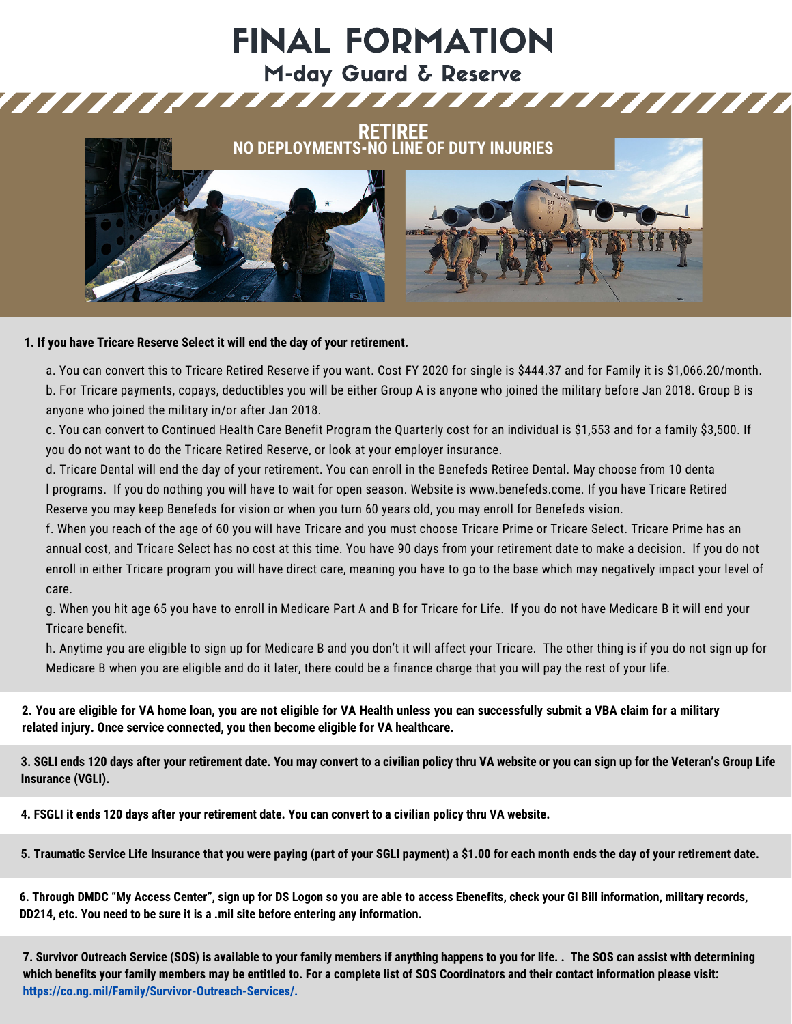## FINAL FORMATION M-day Guard & Reserve

<u> Tanzania di San Japani di San Japani di Salah Bagai di Salah Bagai di Salah Bagai di Salah Bagai di Salah Ba</u>

77777777777777777777777



## **1. If you have Tricare Reserve Select it will end the day of your retirement.**

**A MARIA A MA** 

a. You can convert this to Tricare Retired Reserve if you want. Cost FY 2020 for single is \$444.37 and for Family it is \$1,066.20/month. b. For Tricare payments, copays, deductibles you will be either Group A is anyone who joined the military before Jan 2018. Group B is anyone who joined the military in/or after Jan 2018.

c. You can convert to Continued Health Care Benefit Program the Quarterly cost for an individual is \$1,553 and for a family \$3,500. If you do not want to do the Tricare Retired Reserve, or look at your employer insurance.

d. Tricare Dental will end the day of your retirement. You can enroll in the Benefeds Retiree Dental. May choose from 10 denta l programs. If you do nothing you will have to wait for open season. Website is www.benefeds.come. If you have Tricare Retired Reserve you may keep Benefeds for vision or when you turn 60 years old, you may enroll for Benefeds vision.

f. When you reach of the age of 60 you will have Tricare and you must choose Tricare Prime or Tricare Select. Tricare Prime has an annual cost, and Tricare Select has no cost at this time. You have 90 days from your retirement date to make a decision. If you do not enroll in either Tricare program you will have direct care, meaning you have to go to the base which may negatively impact your level of care.

g. When you hit age 65 you have to enroll in Medicare Part A and B for Tricare for Life. If you do not have Medicare B it will end your Tricare benefit.

h. Anytime you are eligible to sign up for Medicare B and you don't it will affect your Tricare. The other thing is if you do not sign up for Medicare B when you are eligible and do it later, there could be a finance charge that you will pay the rest of your life.

2. You are eligible for VA home loan, you are not eligible for VA Health unless you can successfully submit a VBA claim for a military **related injury. Once service connected, you then become eligible for VA healthcare.**

3. SGLI ends 120 days after your retirement date. You may convert to a civilian policy thru VA website or you can sign up for the Veteran's Group Life **Insurance (VGLI).**

4. FSGLI it ends 120 days after your retirement date. You can convert to a civilian policy thru VA website.

5. Traumatic Service Life Insurance that you were paying (part of your SGLI payment) a \$1.00 for each month ends the day of your retirement date.

6. Through DMDC "My Access Center", sign up for DS Logon so you are able to access Ebenefits, check your GI Bill information, military records, **DD214, etc. You need to be sure it is a .mil site before entering any information.**

7. Survivor Outreach Service (SOS) is available to your family members if anything happens to you for life. . The SOS can assist with determining which benefits your family members may be entitled to. For a complete list of SOS Coordinators and their contact information please visit: **https://co.ng.mil/Family/Survivor-Outreach-Services/.**